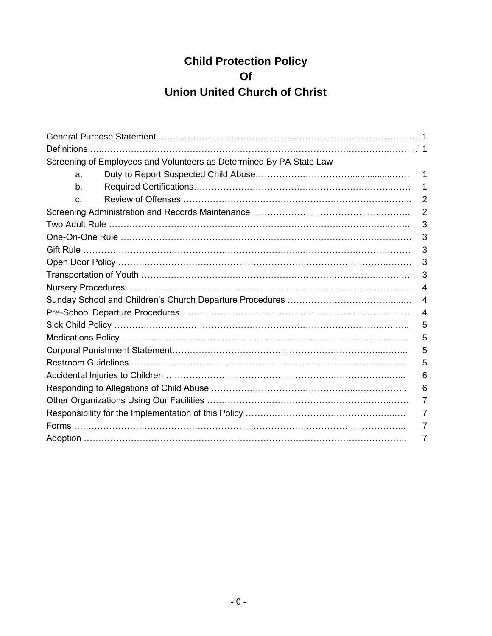# **Child Protection Policy Of Union United Church of Christ**

|    | Screening of Employees and Volunteers as Determined By PA State Law |                |
|----|---------------------------------------------------------------------|----------------|
| a. |                                                                     |                |
| b. |                                                                     |                |
| C. |                                                                     | $\overline{2}$ |
|    |                                                                     | $\overline{2}$ |
|    |                                                                     | 3              |
|    |                                                                     | 3              |
|    |                                                                     | 3              |
|    |                                                                     | 3              |
|    |                                                                     | 3              |
|    |                                                                     | 4              |
|    |                                                                     | 4              |
|    |                                                                     | 4              |
|    |                                                                     | 5              |
|    |                                                                     | 5              |
|    |                                                                     | 5              |
|    |                                                                     | 5              |
|    |                                                                     | 6              |
|    |                                                                     | 6              |
|    |                                                                     |                |
|    |                                                                     |                |
|    |                                                                     |                |
|    |                                                                     |                |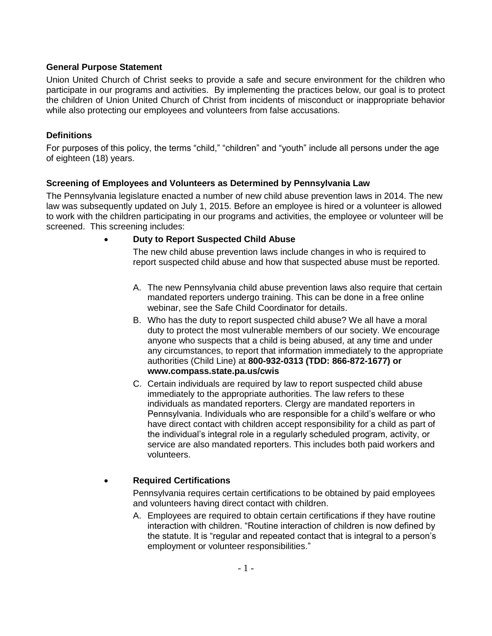#### **General Purpose Statement**

Union United Church of Christ seeks to provide a safe and secure environment for the children who participate in our programs and activities. By implementing the practices below, our goal is to protect the children of Union United Church of Christ from incidents of misconduct or inappropriate behavior while also protecting our employees and volunteers from false accusations.

#### **Definitions**

For purposes of this policy, the terms "child," "children" and "youth" include all persons under the age of eighteen (18) years.

## **Screening of Employees and Volunteers as Determined by Pennsylvania Law**

The Pennsylvania legislature enacted a number of new child abuse prevention laws in 2014. The new law was subsequently updated on July 1, 2015. Before an employee is hired or a volunteer is allowed to work with the children participating in our programs and activities, the employee or volunteer will be screened. This screening includes:

#### **Duty to Report Suspected Child Abuse**

The new child abuse prevention laws include changes in who is required to report suspected child abuse and how that suspected abuse must be reported.

- A. The new Pennsylvania child abuse prevention laws also require that certain mandated reporters undergo training. This can be done in a free online webinar, see the Safe Child Coordinator for details.
- B. Who has the duty to report suspected child abuse? We all have a moral duty to protect the most vulnerable members of our society. We encourage anyone who suspects that a child is being abused, at any time and under any circumstances, to report that information immediately to the appropriate authorities (Child Line) at **800-932-0313 (TDD: 866-872-1677) or www.compass.state.pa.us/cwis**
- C. Certain individuals are required by law to report suspected child abuse immediately to the appropriate authorities. The law refers to these individuals as mandated reporters. Clergy are mandated reporters in Pennsylvania. Individuals who are responsible for a child's welfare or who have direct contact with children accept responsibility for a child as part of the individual's integral role in a regularly scheduled program, activity, or service are also mandated reporters. This includes both paid workers and volunteers.

## **Required Certifications**

Pennsylvania requires certain certifications to be obtained by paid employees and volunteers having direct contact with children.

A. Employees are required to obtain certain certifications if they have routine interaction with children. "Routine interaction of children is now defined by the statute. It is "regular and repeated contact that is integral to a person's employment or volunteer responsibilities."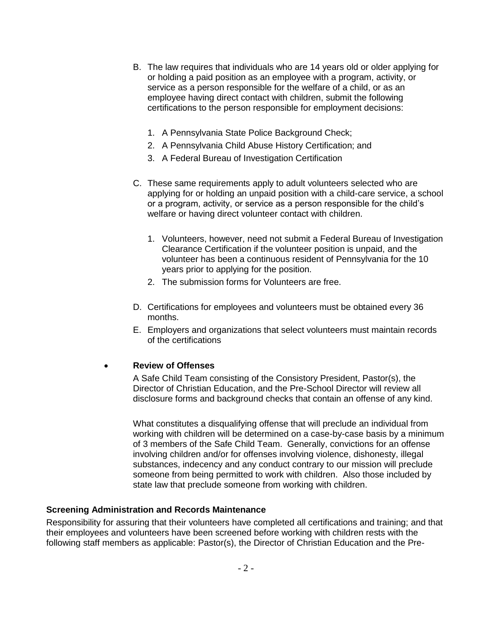- B. The law requires that individuals who are 14 years old or older applying for or holding a paid position as an employee with a program, activity, or service as a person responsible for the welfare of a child, or as an employee having direct contact with children, submit the following certifications to the person responsible for employment decisions:
	- 1. A Pennsylvania State Police Background Check;
	- 2. A Pennsylvania Child Abuse History Certification; and
	- 3. A Federal Bureau of Investigation Certification
- C. These same requirements apply to adult volunteers selected who are applying for or holding an unpaid position with a child-care service, a school or a program, activity, or service as a person responsible for the child's welfare or having direct volunteer contact with children.
	- 1. Volunteers, however, need not submit a Federal Bureau of Investigation Clearance Certification if the volunteer position is unpaid, and the volunteer has been a continuous resident of Pennsylvania for the 10 years prior to applying for the position.
	- 2. The submission forms for Volunteers are free.
- D. Certifications for employees and volunteers must be obtained every 36 months.
- E. Employers and organizations that select volunteers must maintain records of the certifications

#### **Review of Offenses**

A Safe Child Team consisting of the Consistory President, Pastor(s), the Director of Christian Education, and the Pre-School Director will review all disclosure forms and background checks that contain an offense of any kind.

What constitutes a disqualifying offense that will preclude an individual from working with children will be determined on a case-by-case basis by a minimum of 3 members of the Safe Child Team. Generally, convictions for an offense involving children and/or for offenses involving violence, dishonesty, illegal substances, indecency and any conduct contrary to our mission will preclude someone from being permitted to work with children. Also those included by state law that preclude someone from working with children.

#### **Screening Administration and Records Maintenance**

Responsibility for assuring that their volunteers have completed all certifications and training; and that their employees and volunteers have been screened before working with children rests with the following staff members as applicable: Pastor(s), the Director of Christian Education and the Pre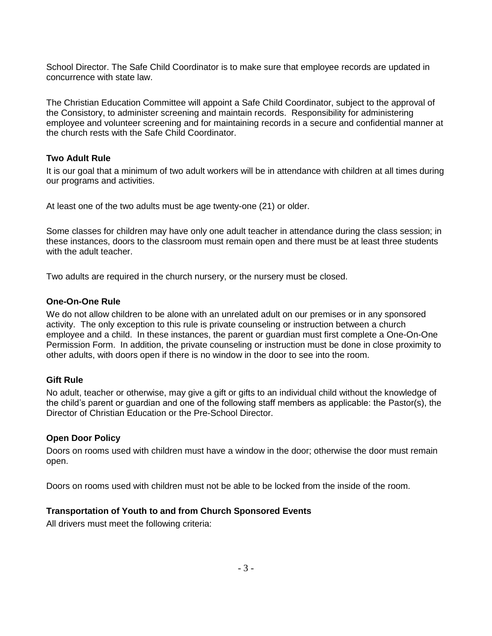School Director. The Safe Child Coordinator is to make sure that employee records are updated in concurrence with state law.

The Christian Education Committee will appoint a Safe Child Coordinator, subject to the approval of the Consistory, to administer screening and maintain records. Responsibility for administering employee and volunteer screening and for maintaining records in a secure and confidential manner at the church rests with the Safe Child Coordinator.

#### **Two Adult Rule**

It is our goal that a minimum of two adult workers will be in attendance with children at all times during our programs and activities.

At least one of the two adults must be age twenty-one (21) or older.

Some classes for children may have only one adult teacher in attendance during the class session; in these instances, doors to the classroom must remain open and there must be at least three students with the adult teacher.

Two adults are required in the church nursery, or the nursery must be closed.

#### **One-On-One Rule**

We do not allow children to be alone with an unrelated adult on our premises or in any sponsored activity. The only exception to this rule is private counseling or instruction between a church employee and a child. In these instances, the parent or guardian must first complete a One-On-One Permission Form. In addition, the private counseling or instruction must be done in close proximity to other adults, with doors open if there is no window in the door to see into the room.

## **Gift Rule**

No adult, teacher or otherwise, may give a gift or gifts to an individual child without the knowledge of the child's parent or guardian and one of the following staff members as applicable: the Pastor(s), the Director of Christian Education or the Pre-School Director.

#### **Open Door Policy**

Doors on rooms used with children must have a window in the door; otherwise the door must remain open.

Doors on rooms used with children must not be able to be locked from the inside of the room.

#### **Transportation of Youth to and from Church Sponsored Events**

All drivers must meet the following criteria: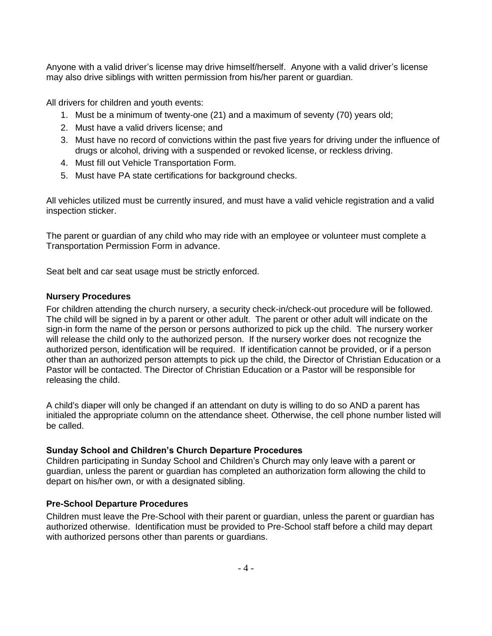Anyone with a valid driver's license may drive himself/herself. Anyone with a valid driver's license may also drive siblings with written permission from his/her parent or guardian.

All drivers for children and youth events:

- 1. Must be a minimum of twenty-one (21) and a maximum of seventy (70) years old;
- 2. Must have a valid drivers license; and
- 3. Must have no record of convictions within the past five years for driving under the influence of drugs or alcohol, driving with a suspended or revoked license, or reckless driving.
- 4. Must fill out Vehicle Transportation Form.
- 5. Must have PA state certifications for background checks.

All vehicles utilized must be currently insured, and must have a valid vehicle registration and a valid inspection sticker.

The parent or guardian of any child who may ride with an employee or volunteer must complete a Transportation Permission Form in advance.

Seat belt and car seat usage must be strictly enforced.

## **Nursery Procedures**

For children attending the church nursery, a security check-in/check-out procedure will be followed. The child will be signed in by a parent or other adult. The parent or other adult will indicate on the sign-in form the name of the person or persons authorized to pick up the child. The nursery worker will release the child only to the authorized person. If the nursery worker does not recognize the authorized person, identification will be required. If identification cannot be provided, or if a person other than an authorized person attempts to pick up the child, the Director of Christian Education or a Pastor will be contacted. The Director of Christian Education or a Pastor will be responsible for releasing the child.

A child's diaper will only be changed if an attendant on duty is willing to do so AND a parent has initialed the appropriate column on the attendance sheet. Otherwise, the cell phone number listed will be called.

## **Sunday School and Children's Church Departure Procedures**

Children participating in Sunday School and Children's Church may only leave with a parent or guardian, unless the parent or guardian has completed an authorization form allowing the child to depart on his/her own, or with a designated sibling.

## **Pre-School Departure Procedures**

Children must leave the Pre-School with their parent or guardian, unless the parent or guardian has authorized otherwise. Identification must be provided to Pre-School staff before a child may depart with authorized persons other than parents or guardians.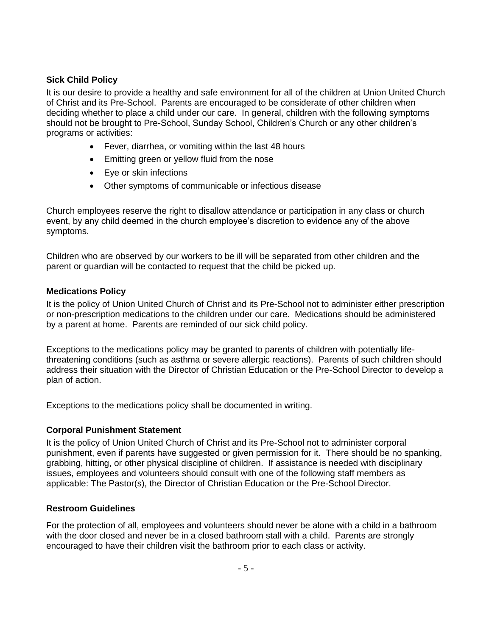## **Sick Child Policy**

It is our desire to provide a healthy and safe environment for all of the children at Union United Church of Christ and its Pre-School. Parents are encouraged to be considerate of other children when deciding whether to place a child under our care. In general, children with the following symptoms should not be brought to Pre-School, Sunday School, Children's Church or any other children's programs or activities:

- Fever, diarrhea, or vomiting within the last 48 hours
- Emitting green or yellow fluid from the nose
- Eye or skin infections
- Other symptoms of communicable or infectious disease

Church employees reserve the right to disallow attendance or participation in any class or church event, by any child deemed in the church employee's discretion to evidence any of the above symptoms.

Children who are observed by our workers to be ill will be separated from other children and the parent or guardian will be contacted to request that the child be picked up.

#### **Medications Policy**

It is the policy of Union United Church of Christ and its Pre-School not to administer either prescription or non-prescription medications to the children under our care. Medications should be administered by a parent at home. Parents are reminded of our sick child policy.

Exceptions to the medications policy may be granted to parents of children with potentially lifethreatening conditions (such as asthma or severe allergic reactions). Parents of such children should address their situation with the Director of Christian Education or the Pre-School Director to develop a plan of action.

Exceptions to the medications policy shall be documented in writing.

#### **Corporal Punishment Statement**

It is the policy of Union United Church of Christ and its Pre-School not to administer corporal punishment, even if parents have suggested or given permission for it. There should be no spanking, grabbing, hitting, or other physical discipline of children. If assistance is needed with disciplinary issues, employees and volunteers should consult with one of the following staff members as applicable: The Pastor(s), the Director of Christian Education or the Pre-School Director.

#### **Restroom Guidelines**

For the protection of all, employees and volunteers should never be alone with a child in a bathroom with the door closed and never be in a closed bathroom stall with a child. Parents are strongly encouraged to have their children visit the bathroom prior to each class or activity.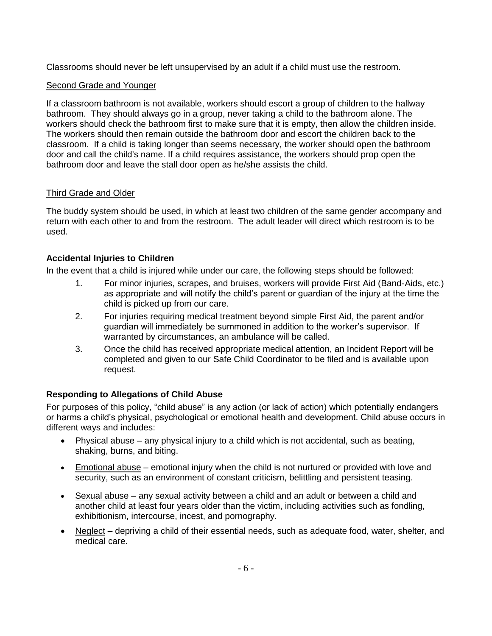Classrooms should never be left unsupervised by an adult if a child must use the restroom.

# Second Grade and Younger

If a classroom bathroom is not available, workers should escort a group of children to the hallway bathroom. They should always go in a group, never taking a child to the bathroom alone. The workers should check the bathroom first to make sure that it is empty, then allow the children inside. The workers should then remain outside the bathroom door and escort the children back to the classroom. If a child is taking longer than seems necessary, the worker should open the bathroom door and call the child's name. If a child requires assistance, the workers should prop open the bathroom door and leave the stall door open as he/she assists the child.

# Third Grade and Older

The buddy system should be used, in which at least two children of the same gender accompany and return with each other to and from the restroom. The adult leader will direct which restroom is to be used.

# **Accidental Injuries to Children**

In the event that a child is injured while under our care, the following steps should be followed:

- 1. For minor injuries, scrapes, and bruises, workers will provide First Aid (Band-Aids, etc.) as appropriate and will notify the child's parent or guardian of the injury at the time the child is picked up from our care.
- 2. For injuries requiring medical treatment beyond simple First Aid, the parent and/or guardian will immediately be summoned in addition to the worker's supervisor. If warranted by circumstances, an ambulance will be called.
- 3. Once the child has received appropriate medical attention, an Incident Report will be completed and given to our Safe Child Coordinator to be filed and is available upon request.

# **Responding to Allegations of Child Abuse**

For purposes of this policy, "child abuse" is any action (or lack of action) which potentially endangers or harms a child's physical, psychological or emotional health and development. Child abuse occurs in different ways and includes:

- $\bullet$  Physical abuse any physical injury to a child which is not accidental, such as beating, shaking, burns, and biting.
- **Emotional abuse** emotional injury when the child is not nurtured or provided with love and security, such as an environment of constant criticism, belittling and persistent teasing.
- Sexual abuse any sexual activity between a child and an adult or between a child and another child at least four years older than the victim, including activities such as fondling, exhibitionism, intercourse, incest, and pornography.
- Neglect depriving a child of their essential needs, such as adequate food, water, shelter, and medical care.